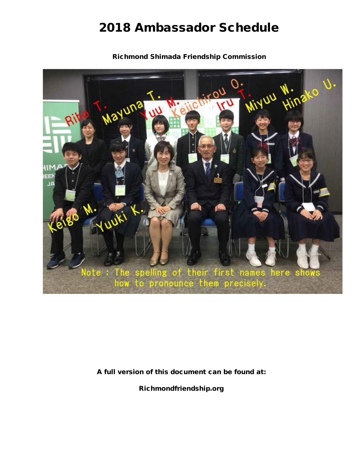# 2018 Ambassador Schedule

Richmond Shimada Friendship Commission



A full version of this document can be found at:

Richmondfriendship.org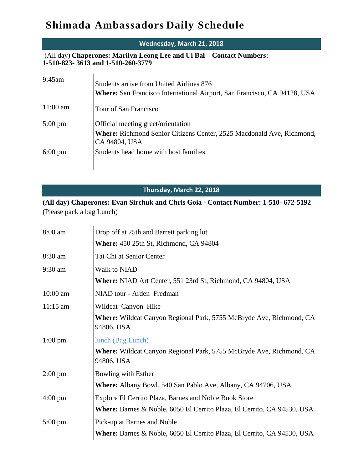## **Shimada Ambassadors Daily Schedule**

### **Wednesday, March 21, 2018** (All day) **Chaperones: Marilyn Leong Lee and Ui Bal – Contact Numbers: 1-510-823- 3613 and 1-510-260-3779** 9:45am Students arrive from United Airlines 876 **Where:** San Francisco International Airport, San Francisco, CA 94128, USA 11:00 am Tour of San Francisco 5:00 pm Official meeting greet/orientation **Where:** Richmond Senior Citizens Center, 2525 Macdonald Ave, Richmond, CA 94804, USA 6:00 pm Students head home with host families

#### **Thursday, March 22, 2018**

**(All day) Chaperones: Evan Sirchuk and Chris Goia - Contact Number: 1-510- 672-5192** (Please pack a bag Lunch)

| 8:00 am           | Drop off at 25th and Barrett parking lot                                          |
|-------------------|-----------------------------------------------------------------------------------|
|                   | <b>Where:</b> 450 25th St, Richmond, CA 94804                                     |
| 8:30 am           | Tai Chi at Senior Center                                                          |
| $9:30$ am         | Walk to NIAD                                                                      |
|                   | <b>Where:</b> NIAD Art Center, 551 23rd St, Richmond, CA 94804, USA               |
| $10:00$ am        | NIAD tour - Arden Fredman                                                         |
| $11:15$ am        | Wildcat Canyon Hike                                                               |
|                   | Where: Wildcat Canyon Regional Park, 5755 McBryde Ave, Richmond, CA<br>94806, USA |
| $1:00 \text{ pm}$ | lunch (Bag Lunch)                                                                 |
|                   | Where: Wildcat Canyon Regional Park, 5755 McBryde Ave, Richmond, CA<br>94806, USA |
| $2:00 \text{ pm}$ | Bowling with Esther                                                               |
|                   | <b>Where:</b> Albany Bowl, 540 San Pablo Ave, Albany, CA 94706, USA               |
| $4:00 \text{ pm}$ | Explore El Cerrito Plaza, Barnes and Noble Book Store                             |
|                   | Where: Barnes & Noble, 6050 El Cerrito Plaza, El Cerrito, CA 94530, USA           |
| $5:00 \text{ pm}$ | Pick-up at Barnes and Noble                                                       |
|                   | Where: Barnes & Noble, 6050 El Cerrito Plaza, El Cerrito, CA 94530, USA           |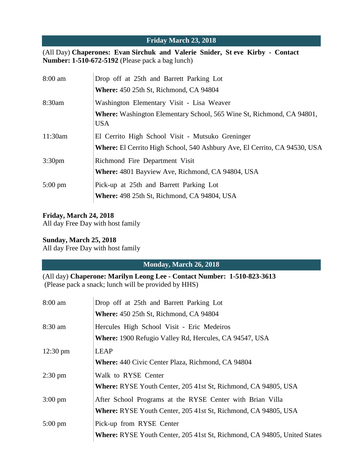#### **Friday March 23, 2018**

(All Day) **Chaperones: Evan Sirchuk and Valerie Snider, St eve Kirby - Contact Number: 1-510-672-5192** (Please pack a bag lunch)

| $8:00$ am          | Drop off at 25th and Barrett Parking Lot                                                   |
|--------------------|--------------------------------------------------------------------------------------------|
|                    | <b>Where:</b> 450 25th St, Richmond, CA 94804                                              |
| 8:30am             | Washington Elementary Visit - Lisa Weaver                                                  |
|                    | <b>Where:</b> Washington Elementary School, 565 Wine St, Richmond, CA 94801,<br><b>USA</b> |
| 11:30am            | El Cerrito High School Visit - Mutsuko Greninger                                           |
|                    | Where: El Cerrito High School, 540 Ashbury Ave, El Cerrito, CA 94530, USA                  |
| 3:30 <sub>pm</sub> | Richmond Fire Department Visit                                                             |
|                    | <b>Where: 4801 Bayview Ave, Richmond, CA 94804, USA</b>                                    |
| $5:00 \text{ pm}$  | Pick-up at 25th and Barrett Parking Lot                                                    |
|                    | Where: 498 25th St, Richmond, CA 94804, USA                                                |

#### **Friday, March 24, 2018**

All day Free Day with host family

#### **Sunday, March 25, 2018**

All day Free Day with host family

#### **Monday, March 26, 2018**

(All day) **Chaperone: Marilyn Leong Lee - Contact Number: 1-510-823-3613** (Please pack a snack; lunch will be provided by HHS)

| $8:00$ am          | Drop off at 25th and Barrett Parking Lot                                 |
|--------------------|--------------------------------------------------------------------------|
|                    | <b>Where:</b> 450 25th St, Richmond, CA 94804                            |
| $8:30$ am          | Hercules High School Visit - Eric Medeiros                               |
|                    | <b>Where:</b> 1900 Refugio Valley Rd, Hercules, CA 94547, USA            |
| $12:30 \text{ pm}$ | <b>LEAP</b>                                                              |
|                    | <b>Where:</b> 440 Civic Center Plaza, Richmond, CA 94804                 |
| $2:30 \text{ pm}$  | Walk to RYSE Center                                                      |
|                    | Where: RYSE Youth Center, 205 41st St, Richmond, CA 94805, USA           |
| $3:00 \text{ pm}$  | After School Programs at the RYSE Center with Brian Villa                |
|                    | <b>Where:</b> RYSE Youth Center, 205 41st St, Richmond, CA 94805, USA    |
| $5:00 \text{ pm}$  | Pick-up from RYSE Center                                                 |
|                    | Where: RYSE Youth Center, 205 41st St, Richmond, CA 94805, United States |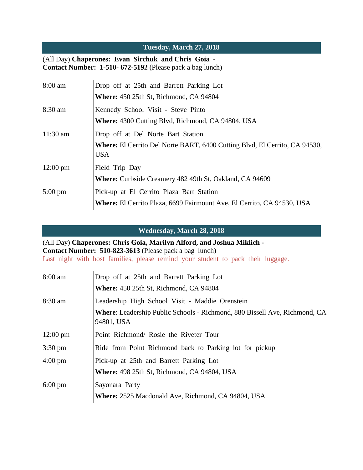#### **Tuesday, March 27, 2018**

#### (All Day) **Chaperones: Evan Sirchuk and Chris Goia - Contact Number: 1-510- 672-5192** (Please pack a bag lunch)

| $8:00$ am          | Drop off at 25th and Barrett Parking Lot                                          |
|--------------------|-----------------------------------------------------------------------------------|
|                    | <b>Where:</b> 450 25th St, Richmond, CA 94804                                     |
| $8:30 \text{ am}$  | Kennedy School Visit - Steve Pinto                                                |
|                    | <b>Where:</b> 4300 Cutting Blvd, Richmond, CA 94804, USA                          |
| $11:30$ am         | Drop off at Del Norte Bart Station                                                |
|                    | <b>Where:</b> El Cerrito Del Norte BART, 6400 Cutting Blvd, El Cerrito, CA 94530, |
|                    | <b>USA</b>                                                                        |
| $12:00 \text{ pm}$ | Field Trip Day                                                                    |
|                    | <b>Where:</b> Curbside Creamery 482 49th St, Oakland, CA 94609                    |
| $5:00 \text{ pm}$  | Pick-up at El Cerrito Plaza Bart Station                                          |
|                    | <b>Where:</b> El Cerrito Plaza, 6699 Fairmount Ave, El Cerrito, CA 94530, USA     |

**Wednesday, March 28, 2018**

(All Day) **Chaperones: Chris Goia, Marilyn Alford, and Joshua Miklich - Contact Number: 510-823-3613** (Please pack a bag lunch) Last night with host families, please remind your student to pack their luggage.

| 8:00 am            | Drop off at 25th and Barrett Parking Lot<br><b>Where:</b> 450 25th St, Richmond, CA 94804                                                          |
|--------------------|----------------------------------------------------------------------------------------------------------------------------------------------------|
| 8:30 am            | Leadership High School Visit - Maddie Orenstein<br><b>Where:</b> Leadership Public Schools - Richmond, 880 Bissell Ave, Richmond, CA<br>94801, USA |
| $12:00 \text{ pm}$ | Point Richmond/ Rosie the Riveter Tour                                                                                                             |
| $3:30 \text{ pm}$  | Ride from Point Richmond back to Parking lot for pickup                                                                                            |
| $4:00 \text{ pm}$  | Pick-up at 25th and Barrett Parking Lot<br><b>Where:</b> 498 25th St, Richmond, CA 94804, USA                                                      |
| $6:00 \text{ pm}$  | Sayonara Party<br><b>Where:</b> 2525 Macdonald Ave, Richmond, CA 94804, USA                                                                        |